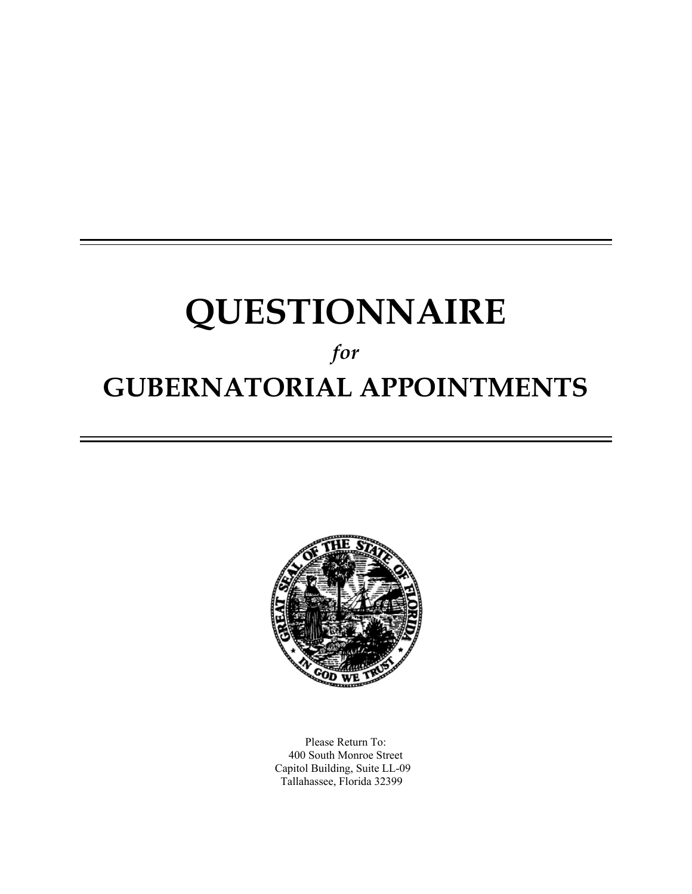# **QUESTIONNAIRE**

# *for*  **GUBERNATORIAL APPOINTMENTS**



Please Return To: 400 South Monroe Street Capitol Building, Suite LL-09 Tallahassee, Florida 32399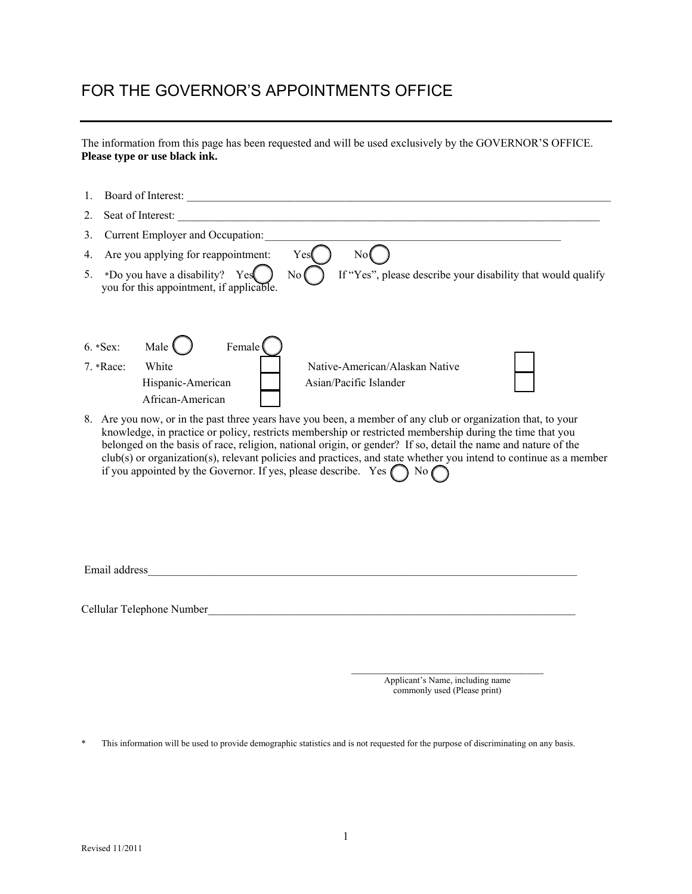### FOR THE GOVERNOR'S APPOINTMENTS OFFICE

The information from this page has been requested and will be used exclusively by the GOVERNOR'S OFFICE. **Please type or use black ink.** 

| 1.      |                                                                                                                                                                                                                                                                                                                                                                                                                                                                                                                                                         |  |  |  |  |  |
|---------|---------------------------------------------------------------------------------------------------------------------------------------------------------------------------------------------------------------------------------------------------------------------------------------------------------------------------------------------------------------------------------------------------------------------------------------------------------------------------------------------------------------------------------------------------------|--|--|--|--|--|
| 2.      | Seat of Interest:                                                                                                                                                                                                                                                                                                                                                                                                                                                                                                                                       |  |  |  |  |  |
| 3.      | Current Employer and Occupation:                                                                                                                                                                                                                                                                                                                                                                                                                                                                                                                        |  |  |  |  |  |
| 4.      | No(<br>Are you applying for reappointment:<br>Yes                                                                                                                                                                                                                                                                                                                                                                                                                                                                                                       |  |  |  |  |  |
| $5_{-}$ | *Do you have a disability? Yes<br>If "Yes", please describe your disability that would qualify<br>No(<br>you for this appointment, if applicable.                                                                                                                                                                                                                                                                                                                                                                                                       |  |  |  |  |  |
|         | Female <sup>(</sup><br>Male (<br>6. * Sex:<br>White<br>Native-American/Alaskan Native<br>7. *Race:<br>Hispanic-American<br>Asian/Pacific Islander<br>African-American                                                                                                                                                                                                                                                                                                                                                                                   |  |  |  |  |  |
|         | 8. Are you now, or in the past three years have you been, a member of any club or organization that, to your<br>knowledge, in practice or policy, restricts membership or restricted membership during the time that you<br>belonged on the basis of race, religion, national origin, or gender? If so, detail the name and nature of the<br>club(s) or organization(s), relevant policies and practices, and state whether you intend to continue as a member<br>if you appointed by the Governor. If yes, please describe. Yes $\bigcap$ No $\bigcap$ |  |  |  |  |  |
|         | Email address                                                                                                                                                                                                                                                                                                                                                                                                                                                                                                                                           |  |  |  |  |  |
|         | Cellular Telephone Number                                                                                                                                                                                                                                                                                                                                                                                                                                                                                                                               |  |  |  |  |  |
|         |                                                                                                                                                                                                                                                                                                                                                                                                                                                                                                                                                         |  |  |  |  |  |
|         | Applicant's Name, including name                                                                                                                                                                                                                                                                                                                                                                                                                                                                                                                        |  |  |  |  |  |

commonly used (Please print)

\* This information will be used to provide demographic statistics and is not requested for the purpose of discriminating on any basis.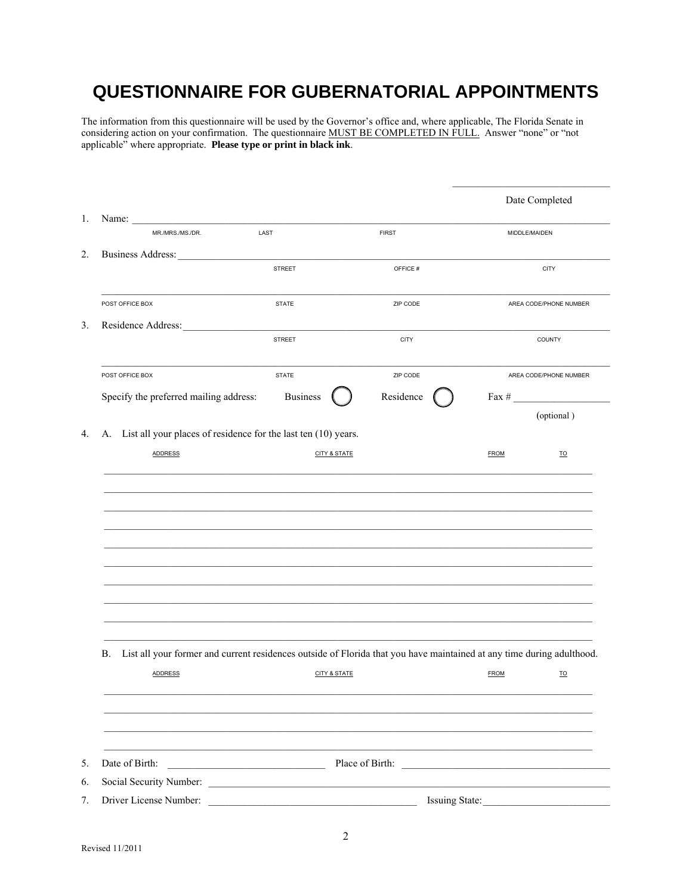## QUESTIONNAIRE FOR GUBERNATORIAL APPOINTMENTS

The information from this questionnaire will be used by the Governor's office and, where applicable, The Florida Senate in considering action on your confirmation. The questionnaire MUST BE COMPLETED IN FULL. Answer "none" or "not applicable" where appropriate. Please type or print in black ink.

|                                                                                                                             |                         |              |                | Date Completed          |
|-----------------------------------------------------------------------------------------------------------------------------|-------------------------|--------------|----------------|-------------------------|
| Name:<br>MR./MRS./MS./DR.                                                                                                   | LAST                    | <b>FIRST</b> | MIDDLE/MAIDEN  |                         |
| <b>Business Address:</b>                                                                                                    |                         |              |                |                         |
|                                                                                                                             | <b>STREET</b>           | OFFICE#      |                | <b>CITY</b>             |
| POST OFFICE BOX                                                                                                             | <b>STATE</b>            | ZIP CODE     |                | AREA CODE/PHONE NUMBER  |
| Residence Address:                                                                                                          |                         |              |                |                         |
|                                                                                                                             | <b>STREET</b>           | <b>CITY</b>  |                | COUNTY                  |
| POST OFFICE BOX                                                                                                             | <b>STATE</b>            | ZIP CODE     |                | AREA CODE/PHONE NUMBER  |
| Specify the preferred mailing address:                                                                                      | <b>Business</b>         | Residence    | Fax $\#$       |                         |
|                                                                                                                             |                         |              |                | (optional)              |
| A. List all your places of residence for the last ten (10) years.                                                           |                         |              |                |                         |
| <b>ADDRESS</b>                                                                                                              | <b>CITY &amp; STATE</b> |              | <b>FROM</b>    | $\underline{\text{TO}}$ |
|                                                                                                                             |                         |              |                |                         |
|                                                                                                                             |                         |              |                |                         |
| List all your former and current residences outside of Florida that you have maintained at any time during adulthood.<br>В. |                         |              |                |                         |
| <b>ADDRESS</b>                                                                                                              | <b>CITY &amp; STATE</b> |              | <b>FROM</b>    | $\underline{\text{TO}}$ |
|                                                                                                                             |                         |              |                |                         |
| Date of Birth:                                                                                                              |                         |              |                |                         |
|                                                                                                                             |                         |              |                |                         |
| Driver License Number:                                                                                                      |                         |              | Issuing State: |                         |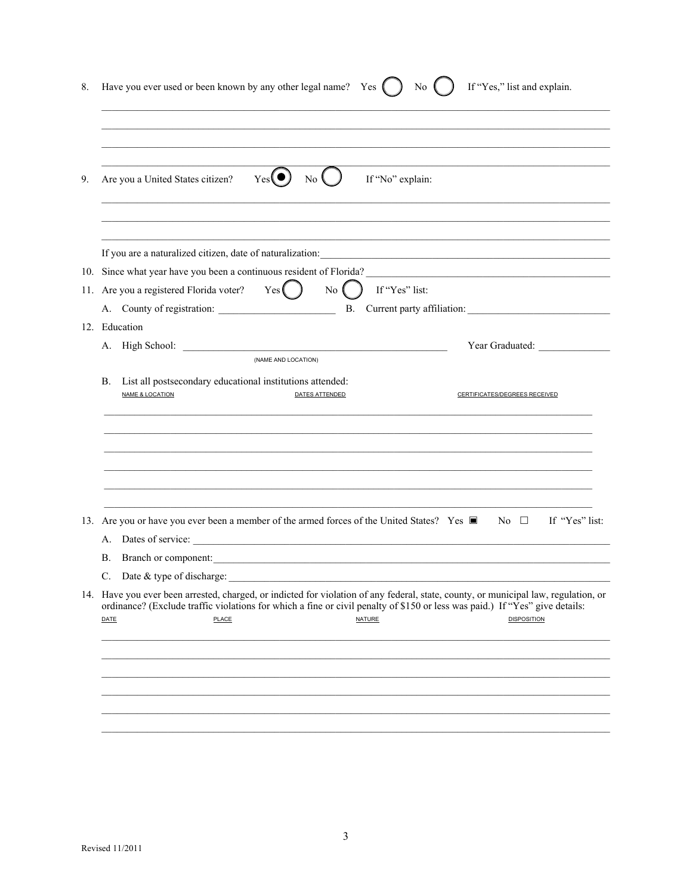| 8. | Have you ever used or been known by any other legal name? Yes (<br>If "Yes," list and explain.<br>No.                                                                                                                                                                                                               |
|----|---------------------------------------------------------------------------------------------------------------------------------------------------------------------------------------------------------------------------------------------------------------------------------------------------------------------|
| 9. | Yes(<br>$\overline{\text{No}}$<br>If "No" explain:<br>Are you a United States citizen?                                                                                                                                                                                                                              |
|    | If you are a naturalized citizen, date of naturalization:<br><u> 1989 - Andrea Stadt Britain, amerikan bestean ingila di sebagai personal di sebagai personal di sebagai per</u>                                                                                                                                    |
|    | Yes( )<br>$\overline{N_{0}}$<br>$\int$ If "Yes" list:<br>11. Are you a registered Florida voter?                                                                                                                                                                                                                    |
|    | 12. Education<br>Year Graduated: Vear Contract Contract Contract Contract Contract Contract Contract Contract Contract Contract Contract Contract Contract Contract Contract Contract Contract Contract Contract Contract Contract Contract Con<br>(NAME AND LOCATION)                                              |
|    | List all postsecondary educational institutions attended:<br>В.<br><b>NAME &amp; LOCATION</b><br>DATES ATTENDED<br>CERTIFICATES/DEGREES RECEIVED                                                                                                                                                                    |
|    | 13. Are you or have you ever been a member of the armed forces of the United States? Yes $\blacksquare$ No $\square$<br>If "Yes" list:                                                                                                                                                                              |
|    | А.<br>Branch or component: <u>contract and the contract of the set of the set of the set of the set of the set of the set of the set of the set of the set of the set of the set of the set of the set of the set of the set of the se</u><br>В.                                                                    |
|    | Date $&$ type of discharge:<br>C.                                                                                                                                                                                                                                                                                   |
|    | 14. Have you ever been arrested, charged, or indicted for violation of any federal, state, county, or municipal law, regulation, or<br>ordinance? (Exclude traffic violations for which a fine or civil penalty of \$150 or less was paid.) If "Yes" give details:<br>DATE<br>PLACE<br>NATURE<br><b>DISPOSITION</b> |
|    |                                                                                                                                                                                                                                                                                                                     |
|    |                                                                                                                                                                                                                                                                                                                     |
|    |                                                                                                                                                                                                                                                                                                                     |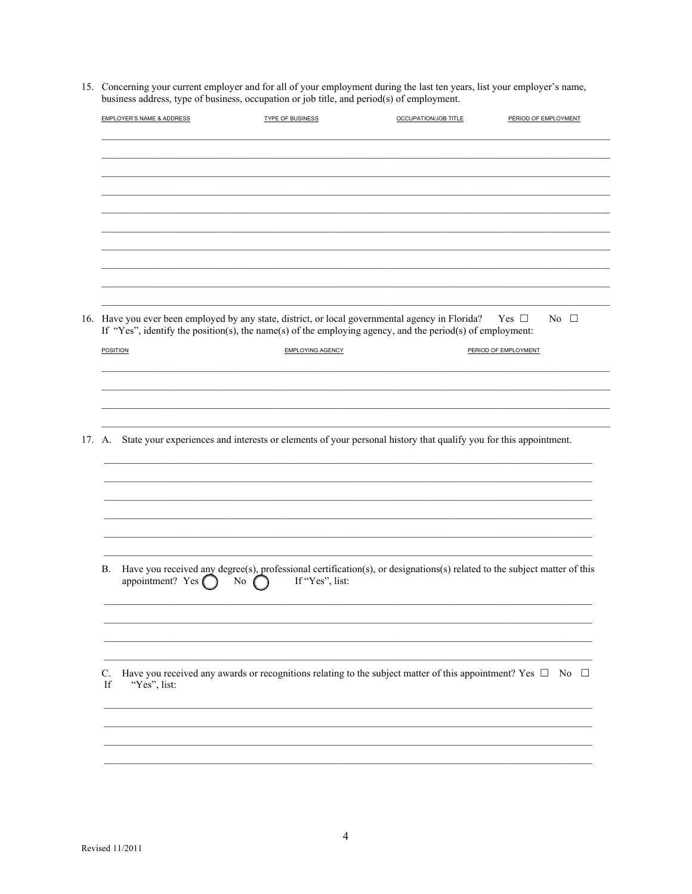15. Concerning your current employer and for all of your employment during the last ten years, list your employer's name, business address, type of business, occupation or job title, and period(s) of employment.

| <b>EMPLOYER'S NAME &amp; ADDRESS</b>    | <b>TYPE OF BUSINESS</b>                                                                                                                                                                                                                                | OCCUPATION/JOB TITLE | PERIOD OF EMPLOYMENT |  |  |  |  |
|-----------------------------------------|--------------------------------------------------------------------------------------------------------------------------------------------------------------------------------------------------------------------------------------------------------|----------------------|----------------------|--|--|--|--|
|                                         |                                                                                                                                                                                                                                                        |                      |                      |  |  |  |  |
|                                         |                                                                                                                                                                                                                                                        |                      |                      |  |  |  |  |
|                                         |                                                                                                                                                                                                                                                        |                      |                      |  |  |  |  |
|                                         |                                                                                                                                                                                                                                                        |                      |                      |  |  |  |  |
|                                         |                                                                                                                                                                                                                                                        |                      |                      |  |  |  |  |
|                                         |                                                                                                                                                                                                                                                        |                      |                      |  |  |  |  |
|                                         | 16. Have you ever been employed by any state, district, or local governmental agency in Florida?<br>Yes $\Box$<br>$\overline{N_0}$ $\Box$<br>If "Yes", identify the position(s), the name(s) of the employing agency, and the period(s) of employment: |                      |                      |  |  |  |  |
| <b>POSITION</b>                         | EMPLOYING AGENCY                                                                                                                                                                                                                                       |                      | PERIOD OF EMPLOYMENT |  |  |  |  |
|                                         |                                                                                                                                                                                                                                                        |                      |                      |  |  |  |  |
|                                         |                                                                                                                                                                                                                                                        |                      |                      |  |  |  |  |
|                                         | 17. A. State your experiences and interests or elements of your personal history that qualify you for this appointment.                                                                                                                                |                      |                      |  |  |  |  |
|                                         |                                                                                                                                                                                                                                                        |                      |                      |  |  |  |  |
|                                         |                                                                                                                                                                                                                                                        |                      |                      |  |  |  |  |
|                                         |                                                                                                                                                                                                                                                        |                      |                      |  |  |  |  |
| <b>B.</b><br>appointment? Yes $\bigcap$ | Have you received any degree(s), professional certification(s), or designations(s) related to the subject matter of this<br>If "Yes", list:<br>No                                                                                                      |                      |                      |  |  |  |  |
|                                         |                                                                                                                                                                                                                                                        |                      |                      |  |  |  |  |
| C.<br>"Yes", list:<br>If                | Have you received any awards or recognitions relating to the subject matter of this appointment? Yes $\Box$ No $\Box$                                                                                                                                  |                      |                      |  |  |  |  |
|                                         |                                                                                                                                                                                                                                                        |                      |                      |  |  |  |  |
|                                         |                                                                                                                                                                                                                                                        |                      |                      |  |  |  |  |
|                                         |                                                                                                                                                                                                                                                        |                      |                      |  |  |  |  |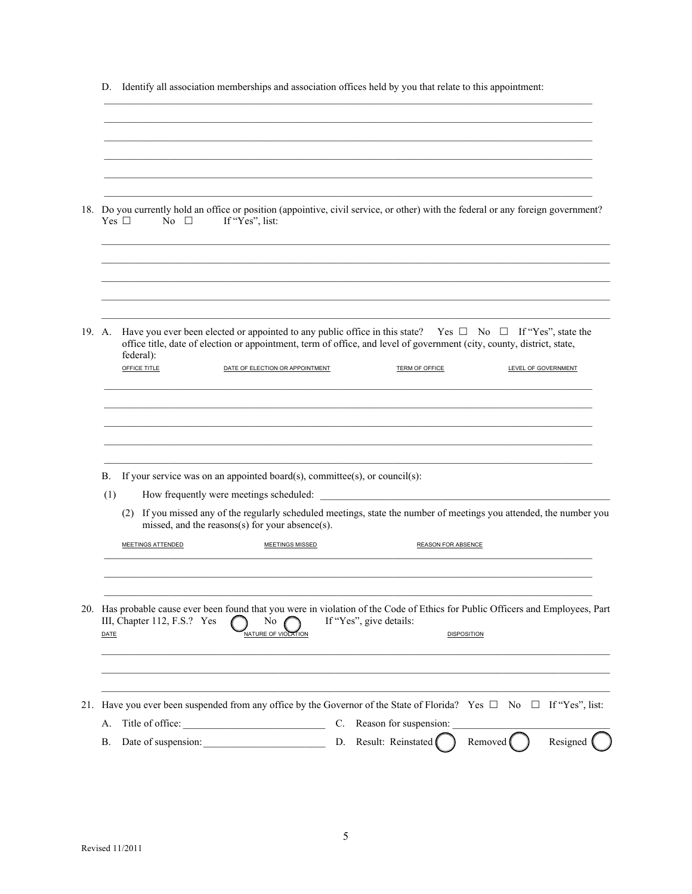|        | Yes $\square$<br>No $\square$<br>If "Yes", list:                           | 18. Do you currently hold an office or position (appointive, civil service, or other) with the federal or any foreign government?                                                                                                                                                              |
|--------|----------------------------------------------------------------------------|------------------------------------------------------------------------------------------------------------------------------------------------------------------------------------------------------------------------------------------------------------------------------------------------|
|        |                                                                            |                                                                                                                                                                                                                                                                                                |
| 19. A. | federal):<br><b>OFFICE TITLE</b><br>DATE OF ELECTION OR APPOINTMENT        | Have you ever been elected or appointed to any public office in this state? Yes $\Box$ No $\Box$ If "Yes", state the<br>office title, date of election or appointment, term of office, and level of government (city, county, district, state,<br>TERM OF OFFICE<br><b>LEVEL OF GOVERNMENT</b> |
|        |                                                                            |                                                                                                                                                                                                                                                                                                |
| В.     | If your service was on an appointed board(s), committee(s), or council(s): |                                                                                                                                                                                                                                                                                                |
| (1)    | How frequently were meetings scheduled:                                    |                                                                                                                                                                                                                                                                                                |
|        | missed, and the reasons(s) for your absence(s).                            | (2) If you missed any of the regularly scheduled meetings, state the number of meetings you attended, the number you                                                                                                                                                                           |
|        | MEETINGS ATTENDED<br>MEETINGS MISSED                                       | REASON FOR ABSENCE                                                                                                                                                                                                                                                                             |
|        | III, Chapter 112, F.S.? Yes<br>No<br>NATURE OF VIOLATION                   | 20. Has probable cause ever been found that you were in violation of the Code of Ethics for Public Officers and Employees, Part<br>If "Yes", give details:<br><b>DISPOSITION</b>                                                                                                               |
| DATE   |                                                                            |                                                                                                                                                                                                                                                                                                |
| А.     | Title of office:                                                           | 21. Have you ever been suspended from any office by the Governor of the State of Florida? Yes $\Box$ No $\Box$ If "Yes", list:<br>C. Reason for suspension:                                                                                                                                    |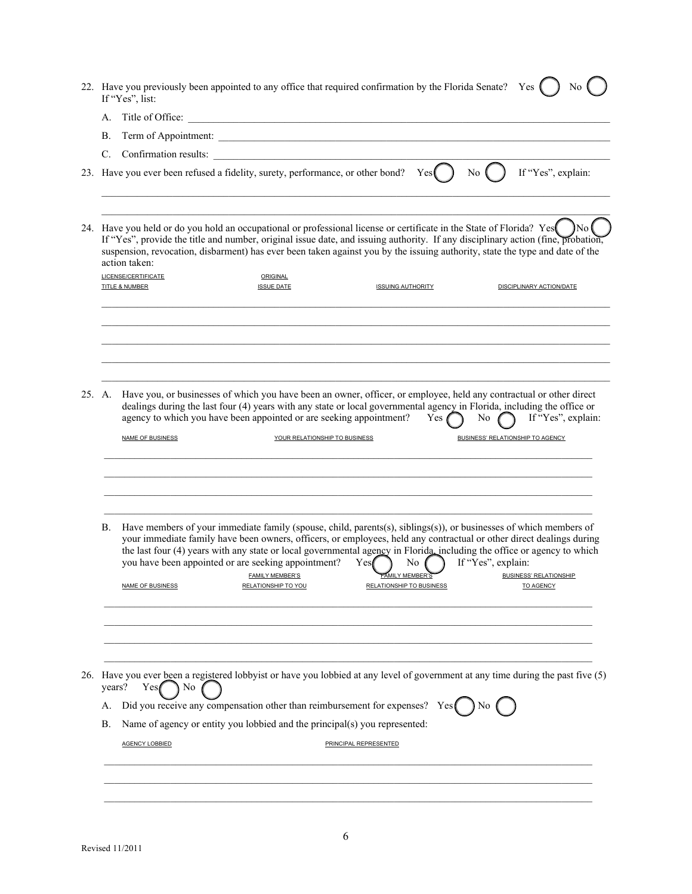| 22. Have you previously been appointed to any office that required confirmation by the Florida Senate?<br>Yes 1<br>No<br>If "Yes", list: |                         |                                                                                    |     |                                                                                                                                                                                                                                               |                                                                                                                                                                                                                                                       |                                                                                                                                                                                                                                                                                                                                                                                                                                                                                                                                                                                                                                                                                                                                                                                                                                                                                                                                                                                                                                                                                                                                                                                                                                          |
|------------------------------------------------------------------------------------------------------------------------------------------|-------------------------|------------------------------------------------------------------------------------|-----|-----------------------------------------------------------------------------------------------------------------------------------------------------------------------------------------------------------------------------------------------|-------------------------------------------------------------------------------------------------------------------------------------------------------------------------------------------------------------------------------------------------------|------------------------------------------------------------------------------------------------------------------------------------------------------------------------------------------------------------------------------------------------------------------------------------------------------------------------------------------------------------------------------------------------------------------------------------------------------------------------------------------------------------------------------------------------------------------------------------------------------------------------------------------------------------------------------------------------------------------------------------------------------------------------------------------------------------------------------------------------------------------------------------------------------------------------------------------------------------------------------------------------------------------------------------------------------------------------------------------------------------------------------------------------------------------------------------------------------------------------------------------|
| A.                                                                                                                                       |                         |                                                                                    |     |                                                                                                                                                                                                                                               |                                                                                                                                                                                                                                                       |                                                                                                                                                                                                                                                                                                                                                                                                                                                                                                                                                                                                                                                                                                                                                                                                                                                                                                                                                                                                                                                                                                                                                                                                                                          |
| В.                                                                                                                                       |                         |                                                                                    |     |                                                                                                                                                                                                                                               |                                                                                                                                                                                                                                                       |                                                                                                                                                                                                                                                                                                                                                                                                                                                                                                                                                                                                                                                                                                                                                                                                                                                                                                                                                                                                                                                                                                                                                                                                                                          |
|                                                                                                                                          |                         |                                                                                    |     |                                                                                                                                                                                                                                               |                                                                                                                                                                                                                                                       |                                                                                                                                                                                                                                                                                                                                                                                                                                                                                                                                                                                                                                                                                                                                                                                                                                                                                                                                                                                                                                                                                                                                                                                                                                          |
|                                                                                                                                          |                         |                                                                                    |     |                                                                                                                                                                                                                                               | No.                                                                                                                                                                                                                                                   | If "Yes", explain:                                                                                                                                                                                                                                                                                                                                                                                                                                                                                                                                                                                                                                                                                                                                                                                                                                                                                                                                                                                                                                                                                                                                                                                                                       |
|                                                                                                                                          |                         | ORIGINAL<br><b>ISSUE DATE</b>                                                      |     |                                                                                                                                                                                                                                               |                                                                                                                                                                                                                                                       | <b>DISCIPLINARY ACTION/DATE</b>                                                                                                                                                                                                                                                                                                                                                                                                                                                                                                                                                                                                                                                                                                                                                                                                                                                                                                                                                                                                                                                                                                                                                                                                          |
|                                                                                                                                          | NAME OF BUSINESS        |                                                                                    |     | Yes $\ell$                                                                                                                                                                                                                                    |                                                                                                                                                                                                                                                       | No $\bigcap$ If "Yes", explain:                                                                                                                                                                                                                                                                                                                                                                                                                                                                                                                                                                                                                                                                                                                                                                                                                                                                                                                                                                                                                                                                                                                                                                                                          |
| В.                                                                                                                                       | <b>NAME OF BUSINESS</b> | <b>FAMILY MEMBER'S</b><br><b>RELATIONSHIP TO YOU</b>                               | Yes |                                                                                                                                                                                                                                               |                                                                                                                                                                                                                                                       | <b>BUSINESS' RELATIONSHIP</b><br><b>TO AGENCY</b>                                                                                                                                                                                                                                                                                                                                                                                                                                                                                                                                                                                                                                                                                                                                                                                                                                                                                                                                                                                                                                                                                                                                                                                        |
| А.<br>В.                                                                                                                                 | Yes¶<br>∖ No            |                                                                                    |     |                                                                                                                                                                                                                                               | No                                                                                                                                                                                                                                                    |                                                                                                                                                                                                                                                                                                                                                                                                                                                                                                                                                                                                                                                                                                                                                                                                                                                                                                                                                                                                                                                                                                                                                                                                                                          |
|                                                                                                                                          | 25. A.                  | action taken:<br><b>LICENSE/CERTIFICATE</b><br><b>TITLE &amp; NUMBER</b><br>years? |     | 23. Have you ever been refused a fidelity, surety, performance, or other bond?<br>agency to which you have been appointed or are seeking appointment?<br>YOUR RELATIONSHIP TO BUSINESS<br>you have been appointed or are seeking appointment? | Yes<br><b>ISSUING AUTHORITY</b><br>No.<br>FAMILY MEMBER'S<br><b>RELATIONSHIP TO BUSINESS</b><br>Did you receive any compensation other than reimbursement for expenses?<br>Name of agency or entity you lobbied and the principal(s) you represented: | Term of Appointment:<br>24. Have you held or do you hold an occupational or professional license or certificate in the State of Florida? Yes<br>If "Yes", provide the title and number, original issue date, and issuing authority. If any disciplinary action (fine, probation,<br>suspension, revocation, disbarment) has ever been taken against you by the issuing authority, state the type and date of the<br>Have you, or businesses of which you have been an owner, officer, or employee, held any contractual or other direct<br>dealings during the last four (4) years with any state or local governmental agency in Florida, including the office or<br>BUSINESS' RELATIONSHIP TO AGENCY<br>Have members of your immediate family (spouse, child, parents(s), siblings(s)), or businesses of which members of<br>your immediate family have been owners, officers, or employees, held any contractual or other direct dealings during<br>the last four (4) years with any state or local governmental agency in Florida including the office or agency to which<br>If "Yes", explain:<br>26. Have you ever been a registered lobby ist or have you lobbied at any level of government at any time during the past five (5) |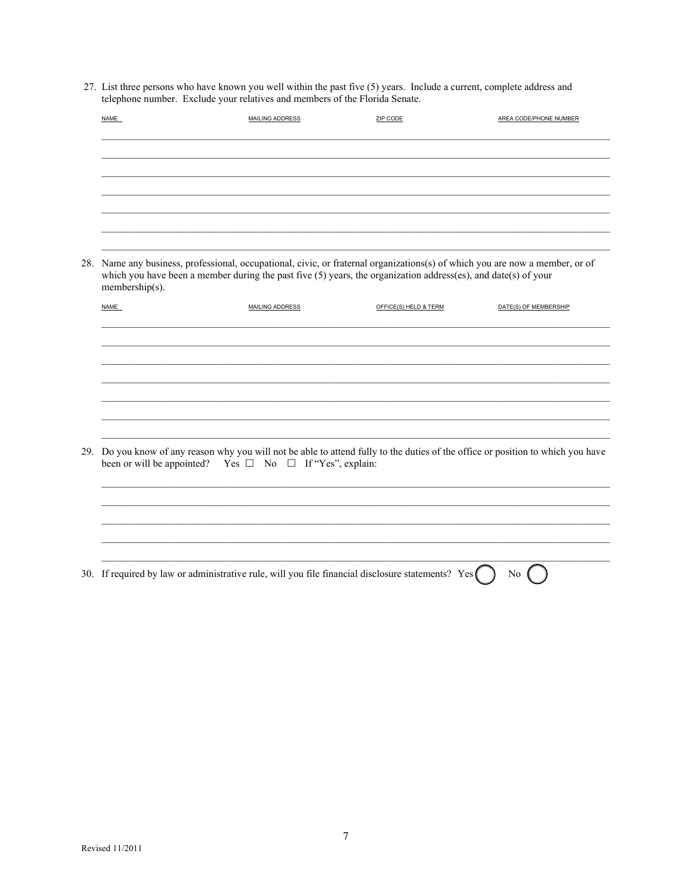27. List three persons who have known you well within the past five (5) years. Include a current, complete address and telephone number. Exclude your relatives and members of the Florida Senate.

| NAME                                                                                                                                                                                                                                                               | <b>MAILING ADDRESS</b> | ZIP CODE              | AREA CODE/PHONE NUMBER                                                                                                           |  |  |  |
|--------------------------------------------------------------------------------------------------------------------------------------------------------------------------------------------------------------------------------------------------------------------|------------------------|-----------------------|----------------------------------------------------------------------------------------------------------------------------------|--|--|--|
|                                                                                                                                                                                                                                                                    |                        |                       |                                                                                                                                  |  |  |  |
|                                                                                                                                                                                                                                                                    |                        |                       |                                                                                                                                  |  |  |  |
|                                                                                                                                                                                                                                                                    |                        |                       |                                                                                                                                  |  |  |  |
| 28. Name any business, professional, occupational, civic, or fraternal organizations(s) of which you are now a member, or of<br>which you have been a member during the past five $(5)$ years, the organization address(es), and date(s) of your<br>membership(s). |                        |                       |                                                                                                                                  |  |  |  |
| <b>NAME</b>                                                                                                                                                                                                                                                        | MAILING ADDRESS        | OFFICE(S) HELD & TERM | DATE(S) OF MEMBERSHIP                                                                                                            |  |  |  |
|                                                                                                                                                                                                                                                                    |                        |                       |                                                                                                                                  |  |  |  |
|                                                                                                                                                                                                                                                                    |                        |                       |                                                                                                                                  |  |  |  |
|                                                                                                                                                                                                                                                                    |                        |                       |                                                                                                                                  |  |  |  |
|                                                                                                                                                                                                                                                                    |                        |                       |                                                                                                                                  |  |  |  |
| been or will be appointed? Yes $\Box$ No $\Box$ If "Yes", explain:                                                                                                                                                                                                 |                        |                       | 29. Do you know of any reason why you will not be able to attend fully to the duties of the office or position to which you have |  |  |  |
|                                                                                                                                                                                                                                                                    |                        |                       |                                                                                                                                  |  |  |  |
|                                                                                                                                                                                                                                                                    |                        |                       |                                                                                                                                  |  |  |  |
|                                                                                                                                                                                                                                                                    |                        |                       |                                                                                                                                  |  |  |  |
| 30. If required by law or administrative rule, will you file financial disclosure statements? Yes                                                                                                                                                                  |                        |                       | No                                                                                                                               |  |  |  |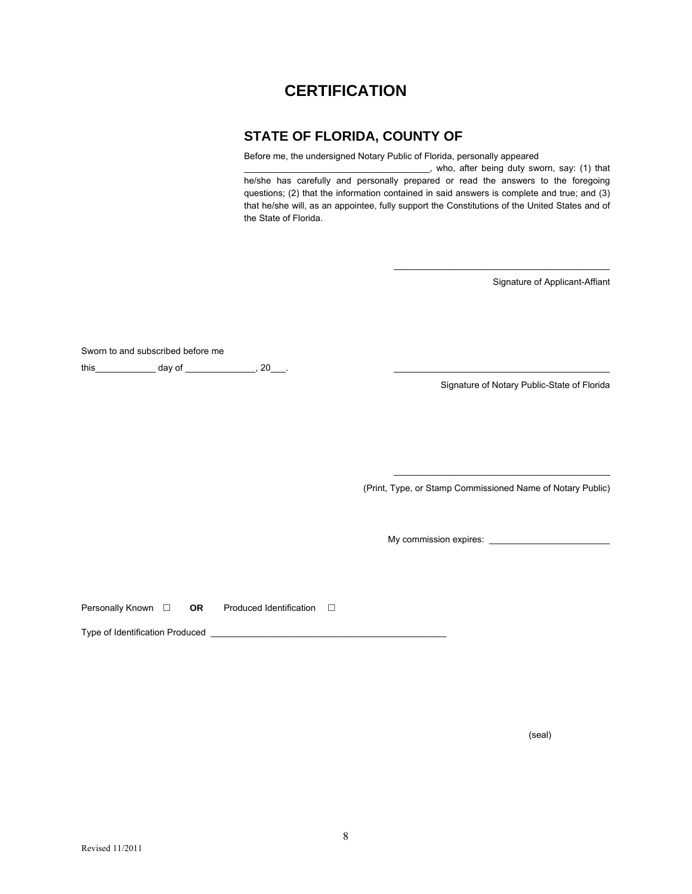#### **CERTIFICATION**

#### **STATE OF FLORIDA, COUNTY OF**

Before me, the undersigned Notary Public of Florida, personally appeared

\_\_\_\_\_\_\_\_\_\_\_\_\_\_\_\_\_\_\_\_\_\_\_\_\_\_\_\_\_\_\_\_\_\_\_\_\_, who, after being duty sworn, say: (1) that he/she has carefully and personally prepared or read the answers to the foregoing questions; (2) that the information contained in said answers is complete and true; and (3) that he/she will, as an appointee, fully support the Constitutions of the United States and of the State of Florida.

Signature of Applicant-Affiant

Sworn to and subscribed before me this\_\_\_\_\_\_\_\_\_\_\_\_ day of \_\_\_\_\_\_\_\_\_\_\_\_\_\_, 20\_\_\_. \_\_\_\_\_\_\_\_\_\_\_\_\_\_\_\_\_\_\_\_\_\_\_\_\_\_\_\_\_\_\_\_\_\_\_\_\_\_\_\_\_\_\_

Signature of Notary Public-State of Florida

\_\_\_\_\_\_\_\_\_\_\_\_\_\_\_\_\_\_\_\_\_\_\_\_\_\_\_\_\_\_\_\_\_\_\_\_\_\_\_\_\_\_\_

(Print, Type, or Stamp Commissioned Name of Notary Public)

\_\_\_\_\_\_\_\_\_\_\_\_\_\_\_\_\_\_\_\_\_\_\_\_\_\_\_\_\_\_\_\_\_\_\_\_\_\_\_\_\_\_\_

My commission expires: \_\_\_\_\_\_\_\_\_\_\_\_\_\_\_\_\_\_\_\_\_\_\_\_

Personally Known  $\square$  **OR** Produced Identification  $\square$ 

Type of Identification Produced \_

(seal)